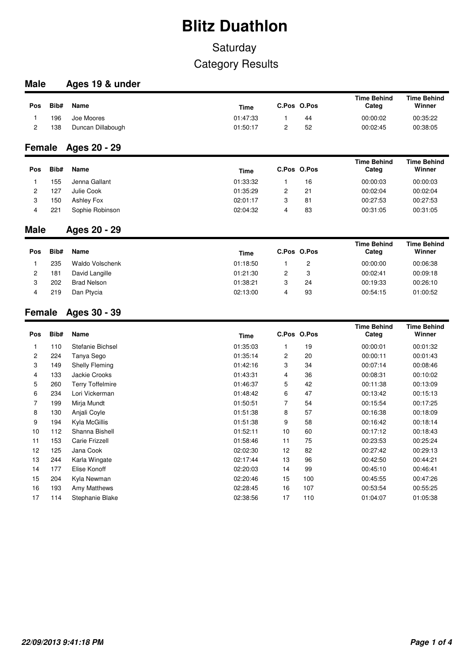## **Saturday** Category Results

### **Male Ages 19 & under**

| <b>Pos</b> | Bib# | Name              | <b>Time</b> | C.Pos O.Pos |    | <b>Time Behind</b><br>Categ | <b>Time Behind</b><br>Winner |
|------------|------|-------------------|-------------|-------------|----|-----------------------------|------------------------------|
|            | 196  | Joe Moores        | 01:47:33    |             | 44 | 00:00:02                    | 00:35:22                     |
|            | 138  | Duncan Dillabough | 01:50:17    |             | 52 | 00:02:45                    | 00:38:05                     |

### **Female Ages 20 - 29**

| Pos | Bib# | Name            | <b>Time</b> | C.Pos O.Pos |    | <b>Time Behind</b><br>Categ | <b>Time Behind</b><br>Winner |
|-----|------|-----------------|-------------|-------------|----|-----------------------------|------------------------------|
|     | 155  | Jenna Gallant   | 01:33:32    |             | 16 | 00:00:03                    | 00:00:03                     |
|     | 127  | Julie Cook      | 01:35:29    | 2           | 21 | 00:02:04                    | 00:02:04                     |
| З   | 150  | Ashley Fox      | 02:01:17    | 3           | 81 | 00:27:53                    | 00:27:53                     |
|     | 221  | Sophie Robinson | 02:04:32    |             | 83 | 00:31:05                    | 00:31:05                     |

### **Male Ages 20 - 29**

| Pos | Bib# | Name            | <b>Time</b> |   | C.Pos O.Pos | <b>Time Behind</b><br>Categ | <b>Time Behind</b><br>Winner |
|-----|------|-----------------|-------------|---|-------------|-----------------------------|------------------------------|
|     | 235  | Waldo Volschenk | 01:18:50    |   |             | 00:00:00                    | 00:06:38                     |
| 2   | 181  | David Langille  | 01:21:30    | 2 |             | 00:02:41                    | 00:09:18                     |
| 3   | 202  | Brad Nelson     | 01:38:21    | 3 | 24          | 00:19:33                    | 00:26:10                     |
|     | 219  | Dan Ptycia      | 02:13:00    |   | 93          | 00:54:15                    | 01:00:52                     |

### **Female Ages 30 - 39**

| Pos            | Bib# | Name                    | Time     | C.Pos O.Pos    |     | <b>Time Behind</b><br>Categ | <b>Time Behind</b><br>Winner |
|----------------|------|-------------------------|----------|----------------|-----|-----------------------------|------------------------------|
|                | 110  | Stefanie Bichsel        | 01:35:03 |                | 19  | 00:00:01                    | 00:01:32                     |
| $\overline{2}$ | 224  | Tanya Sego              | 01:35:14 | $\overline{2}$ | 20  | 00:00:11                    | 00:01:43                     |
| 3              | 149  | <b>Shelly Fleming</b>   | 01:42:16 | 3              | 34  | 00:07:14                    | 00:08:46                     |
| 4              | 133  | Jackie Crooks           | 01:43:31 | 4              | 36  | 00:08:31                    | 00:10:02                     |
| 5              | 260  | <b>Terry Toffelmire</b> | 01:46:37 | 5              | 42  | 00:11:38                    | 00:13:09                     |
| 6              | 234  | Lori Vickerman          | 01:48:42 | 6              | 47  | 00:13:42                    | 00:15:13                     |
| 7              | 199  | Mirja Mundt             | 01:50:51 | 7              | 54  | 00:15:54                    | 00:17:25                     |
| 8              | 130  | Anjali Coyle            | 01:51:38 | 8              | 57  | 00:16:38                    | 00:18:09                     |
| 9              | 194  | Kyla McGillis           | 01:51:38 | 9              | 58  | 00:16:42                    | 00:18:14                     |
| 10             | 112  | Shanna Bishell          | 01:52:11 | 10             | 60  | 00:17:12                    | 00:18:43                     |
| 11             | 153  | Carie Frizzell          | 01:58:46 | 11             | 75  | 00:23:53                    | 00:25:24                     |
| 12             | 125  | Jana Cook               | 02:02:30 | 12             | 82  | 00:27:42                    | 00:29:13                     |
| 13             | 244  | Karla Wingate           | 02:17:44 | 13             | 96  | 00:42:50                    | 00:44:21                     |
| 14             | 177  | Elise Konoff            | 02:20:03 | 14             | 99  | 00:45:10                    | 00:46:41                     |
| 15             | 204  | Kyla Newman             | 02:20:46 | 15             | 100 | 00:45:55                    | 00:47:26                     |
| 16             | 193  | Amy Matthews            | 02:28:45 | 16             | 107 | 00:53:54                    | 00:55:25                     |
| 17             | 114  | Stephanie Blake         | 02:38:56 | 17             | 110 | 01:04:07                    | 01:05:38                     |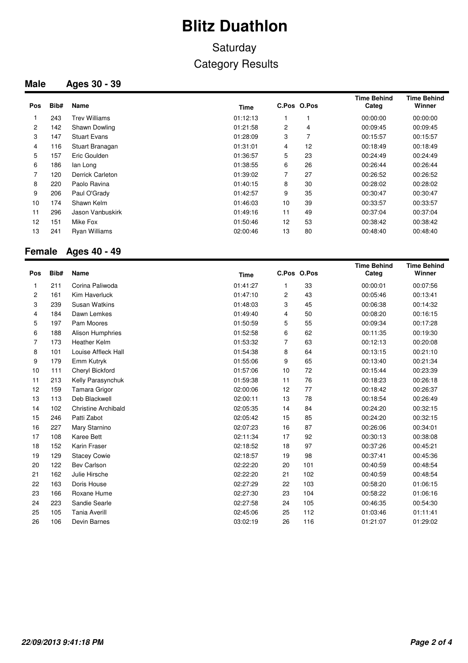## **Saturday** Category Results

### **Male Ages 30 - 39**

| Pos            | Bib# | Name                 | Time     |    | C.Pos O.Pos | Time Behind<br>Categ | <b>Time Behind</b><br>Winner |
|----------------|------|----------------------|----------|----|-------------|----------------------|------------------------------|
|                | 243  | Trev Williams        | 01:12:13 |    |             | 00:00:00             | 00:00:00                     |
| $\overline{2}$ | 142  | Shawn Dowling        | 01:21:58 | 2  | 4           | 00:09:45             | 00:09:45                     |
| 3              | 147  | <b>Stuart Evans</b>  | 01:28:09 | 3  |             | 00:15:57             | 00:15:57                     |
| 4              | 116  | Stuart Branagan      | 01:31:01 | 4  | 12          | 00:18:49             | 00:18:49                     |
| 5              | 157  | Eric Goulden         | 01:36:57 | 5  | 23          | 00:24:49             | 00:24:49                     |
| 6              | 186  | lan Long             | 01:38:55 | 6  | 26          | 00:26:44             | 00:26:44                     |
| 7              | 120  | Derrick Carleton     | 01:39:02 | 7  | 27          | 00:26:52             | 00:26:52                     |
| 8              | 220  | Paolo Ravina         | 01:40:15 | 8  | 30          | 00:28:02             | 00:28:02                     |
| 9              | 206  | Paul O'Grady         | 01:42:57 | 9  | 35          | 00:30:47             | 00:30:47                     |
| 10             | 174  | Shawn Kelm           | 01:46:03 | 10 | 39          | 00:33:57             | 00:33:57                     |
| 11             | 296  | Jason Vanbuskirk     | 01:49:16 | 11 | 49          | 00:37:04             | 00:37:04                     |
| 12             | 151  | Mike Fox             | 01:50:46 | 12 | 53          | 00:38:42             | 00:38:42                     |
| 13             | 241  | <b>Ryan Williams</b> | 02:00:46 | 13 | 80          | 00:48:40             | 00:48:40                     |

### **Female Ages 40 - 49**

| Pos          | Bib# | Name                       | <b>Time</b> |    | C.Pos O.Pos | <b>Time Behind</b><br>Categ | <b>Time Behind</b><br>Winner |
|--------------|------|----------------------------|-------------|----|-------------|-----------------------------|------------------------------|
| 1            | 211  | Corina Paliwoda            | 01:41:27    | 1  | 33          | 00:00:01                    | 00:07:56                     |
| $\mathbf{2}$ | 161  | Kim Haverluck              | 01:47:10    | 2  | 43          | 00:05:46                    | 00:13:41                     |
| 3            | 239  | <b>Susan Watkins</b>       | 01:48:03    | 3  | 45          | 00:06:38                    | 00:14:32                     |
| 4            | 184  | Dawn Lemkes                | 01:49:40    | 4  | 50          | 00:08:20                    | 00:16:15                     |
| 5            | 197  | Pam Moores                 | 01:50:59    | 5  | 55          | 00:09:34                    | 00:17:28                     |
| 6            | 188  | Alison Humphries           | 01:52:58    | 6  | 62          | 00:11:35                    | 00:19:30                     |
| 7            | 173  | <b>Heather Kelm</b>        | 01:53:32    | 7  | 63          | 00:12:13                    | 00:20:08                     |
| 8            | 101  | Louise Affleck Hall        | 01:54:38    | 8  | 64          | 00:13:15                    | 00:21:10                     |
| 9            | 179  | Emm Kutryk                 | 01:55:06    | 9  | 65          | 00:13:40                    | 00:21:34                     |
| 10           | 111  | Cheryl Bickford            | 01:57:06    | 10 | 72          | 00:15:44                    | 00:23:39                     |
| 11           | 213  | Kelly Parasynchuk          | 01:59:38    | 11 | 76          | 00:18:23                    | 00:26:18                     |
| 12           | 159  | Tamara Grigor              | 02:00:06    | 12 | 77          | 00:18:42                    | 00:26:37                     |
| 13           | 113  | Deb Blackwell              | 02:00:11    | 13 | 78          | 00:18:54                    | 00:26:49                     |
| 14           | 102  | <b>Christine Archibald</b> | 02:05:35    | 14 | 84          | 00:24:20                    | 00:32:15                     |
| 15           | 246  | Patti Zabot                | 02:05:42    | 15 | 85          | 00:24:20                    | 00:32:15                     |
| 16           | 227  | Mary Starnino              | 02:07:23    | 16 | 87          | 00:26:06                    | 00:34:01                     |
| 17           | 108  | Karee Bett                 | 02:11:34    | 17 | 92          | 00:30:13                    | 00:38:08                     |
| 18           | 152  | Karin Fraser               | 02:18:52    | 18 | 97          | 00:37:26                    | 00:45:21                     |
| 19           | 129  | <b>Stacey Cowie</b>        | 02:18:57    | 19 | 98          | 00:37:41                    | 00:45:36                     |
| 20           | 122  | <b>Bev Carlson</b>         | 02:22:20    | 20 | 101         | 00:40:59                    | 00:48:54                     |
| 21           | 162  | Julie Hirsche              | 02:22:20    | 21 | 102         | 00:40:59                    | 00:48:54                     |
| 22           | 163  | Doris House                | 02:27:29    | 22 | 103         | 00:58:20                    | 01:06:15                     |
| 23           | 166  | Roxane Hume                | 02:27:30    | 23 | 104         | 00:58:22                    | 01:06:16                     |
| 24           | 223  | Sandie Searle              | 02:27:58    | 24 | 105         | 00:46:35                    | 00:54:30                     |
| 25           | 105  | <b>Tania Averill</b>       | 02:45:06    | 25 | 112         | 01:03:46                    | 01:11:41                     |
| 26           | 106  | Devin Barnes               | 03:02:19    | 26 | 116         | 01:21:07                    | 01:29:02                     |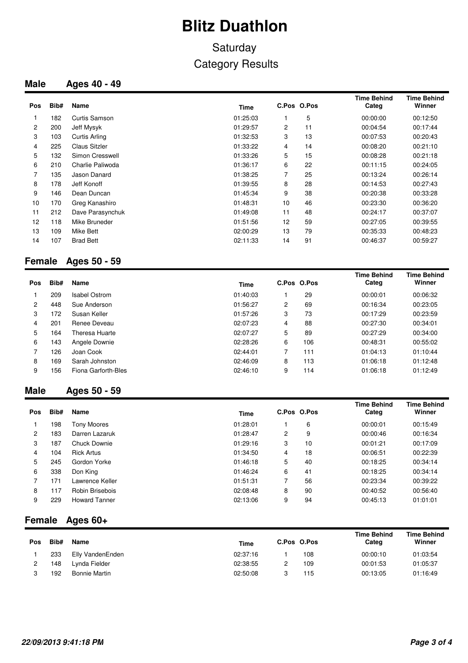## **Saturday** Category Results

### **Male Ages 40 - 49**

| Pos            | Bib# | Name                 | Time     |    | C.Pos O.Pos | <b>Time Behind</b><br>Categ | <b>Time Behind</b><br>Winner |
|----------------|------|----------------------|----------|----|-------------|-----------------------------|------------------------------|
|                | 182  | Curtis Samson        | 01:25:03 |    | 5           | 00:00:00                    | 00:12:50                     |
| $\overline{2}$ | 200  | Jeff Mysyk           | 01:29:57 | 2  | 11          | 00:04:54                    | 00:17:44                     |
| 3              | 103  | <b>Curtis Arling</b> | 01:32:53 | 3  | 13          | 00:07:53                    | 00:20:43                     |
| 4              | 225  | <b>Claus Sitzler</b> | 01:33:22 | 4  | 14          | 00:08:20                    | 00:21:10                     |
| 5              | 132  | Simon Cresswell      | 01:33:26 | 5  | 15          | 00:08:28                    | 00:21:18                     |
| 6              | 210  | Charlie Paliwoda     | 01:36:17 | 6  | 22          | 00:11:15                    | 00:24:05                     |
|                | 135  | Jason Danard         | 01:38:25 | 7  | 25          | 00:13:24                    | 00:26:14                     |
| 8              | 178  | Jeff Konoff          | 01:39:55 | 8  | 28          | 00:14:53                    | 00:27:43                     |
| 9              | 146  | Dean Duncan          | 01:45:34 | 9  | 38          | 00:20:38                    | 00:33:28                     |
| 10             | 170  | Greg Kanashiro       | 01:48:31 | 10 | 46          | 00:23:30                    | 00:36:20                     |
| 11             | 212  | Dave Parasynchuk     | 01:49:08 | 11 | 48          | 00:24:17                    | 00:37:07                     |
| 12             | 118  | Mike Bruneder        | 01:51:56 | 12 | 59          | 00:27:05                    | 00:39:55                     |
| 13             | 109  | Mike Bett            | 02:00:29 | 13 | 79          | 00:35:33                    | 00:48:23                     |
| 14             | 107  | <b>Brad Bett</b>     | 02:11:33 | 14 | 91          | 00:46:37                    | 00:59:27                     |

### **Female Ages 50 - 59**

| <b>Pos</b> | Bib# | <b>Name</b>          | <b>Time</b> |   | C.Pos O.Pos | <b>Time Behind</b><br>Categ | <b>Time Behind</b><br>Winner |
|------------|------|----------------------|-------------|---|-------------|-----------------------------|------------------------------|
|            | 209  | <b>Isabel Ostrom</b> | 01:40:03    |   | 29          | 00:00:01                    | 00:06:32                     |
| 2          | 448  | Sue Anderson         | 01:56:27    | 2 | 69          | 00:16:34                    | 00:23:05                     |
| 3          | 172  | Susan Keller         | 01:57:26    | 3 | 73          | 00:17:29                    | 00:23:59                     |
| 4          | 201  | Renee Deveau         | 02:07:23    | 4 | 88          | 00:27:30                    | 00:34:01                     |
| 5          | 164  | Theresa Huarte       | 02:07:27    | 5 | 89          | 00:27:29                    | 00:34:00                     |
| 6          | 143  | Angele Downie        | 02:28:26    | 6 | 106         | 00:48:31                    | 00:55:02                     |
|            | 126  | Joan Cook            | 02:44:01    | 7 | 111         | 01:04:13                    | 01:10:44                     |
| 8          | 169  | Sarah Johnston       | 02:46:09    | 8 | 113         | 01:06:18                    | 01:12:48                     |
| 9          | 156  | Fiona Garforth-Bles  | 02:46:10    | 9 | 114         | 01:06:18                    | 01:12:49                     |

#### **Male Ages 50 - 59**

| <b>Pos</b>     | Bib# | Name                 | Time     | C.Pos O.Pos |    | <b>Time Behind</b><br>Categ | <b>Time Behind</b><br>Winner |
|----------------|------|----------------------|----------|-------------|----|-----------------------------|------------------------------|
|                | 198  | Tony Moores          | 01:28:01 |             | 6  | 00:00:01                    | 00:15:49                     |
| $\overline{c}$ | 183  | Darren Lazaruk       | 01:28:47 | 2           | 9  | 00:00:46                    | 00:16:34                     |
| 3              | 187  | Chuck Downie         | 01:29:16 | 3           | 10 | 00:01:21                    | 00:17:09                     |
| 4              | 104  | <b>Rick Artus</b>    | 01:34:50 | 4           | 18 | 00:06:51                    | 00:22:39                     |
| 5              | 245  | Gordon Yorke         | 01:46:18 | 5           | 40 | 00:18:25                    | 00:34:14                     |
| 6              | 338  | Don King             | 01:46:24 | 6           | 41 | 00:18:25                    | 00:34:14                     |
|                | 171  | Lawrence Keller      | 01:51:31 | 7           | 56 | 00:23:34                    | 00:39:22                     |
| 8              | 117  | Robin Brisebois      | 02:08:48 | 8           | 90 | 00:40:52                    | 00:56:40                     |
| 9              | 229  | <b>Howard Tanner</b> | 02:13:06 | 9           | 94 | 00:45:13                    | 01:01:01                     |

### **Female Ages 60+**

| Pos | Bib# | Name                 | <b>Time</b> | C.Pos O.Pos |     | <b>Time Behind</b><br>Categ | <b>Time Behind</b><br>Winner |
|-----|------|----------------------|-------------|-------------|-----|-----------------------------|------------------------------|
|     | 233  | Elly VandenEnden     | 02:37:16    |             | 108 | 00:00:10                    | 01:03:54                     |
|     | 148  | Lynda Fielder        | 02:38:55    |             | 109 | 00:01:53                    | 01:05:37                     |
|     | 192  | <b>Bonnie Martin</b> | 02:50:08    |             | 115 | 00:13:05                    | 01:16:49                     |